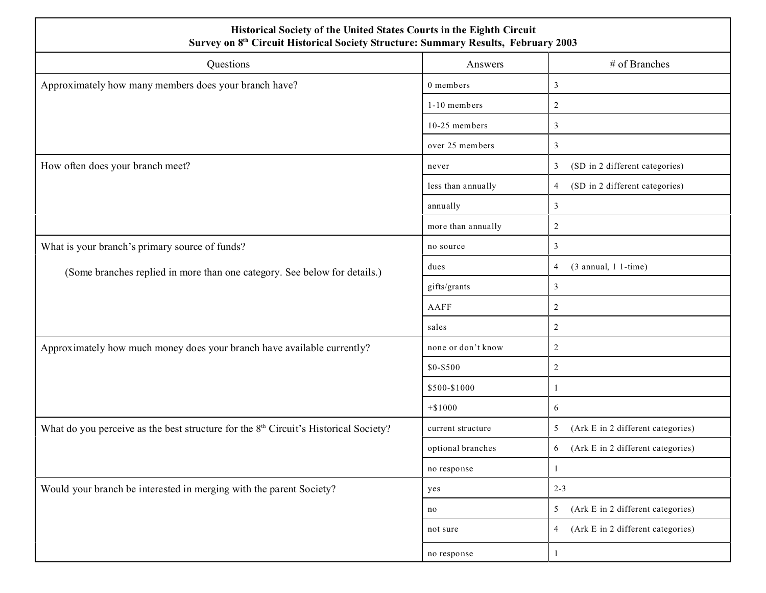| Historical Society of the United States Courts in the Eighth Circuit<br>Survey on 8 <sup>th</sup> Circuit Historical Society Structure: Summary Results, February 2003 |                    |                                                  |  |  |  |  |  |  |  |
|------------------------------------------------------------------------------------------------------------------------------------------------------------------------|--------------------|--------------------------------------------------|--|--|--|--|--|--|--|
| Questions                                                                                                                                                              | Answers            | # of Branches                                    |  |  |  |  |  |  |  |
| Approximately how many members does your branch have?                                                                                                                  | 0 members          | 3                                                |  |  |  |  |  |  |  |
|                                                                                                                                                                        | 1-10 members       | $\overline{2}$                                   |  |  |  |  |  |  |  |
|                                                                                                                                                                        | 10-25 members      | 3                                                |  |  |  |  |  |  |  |
|                                                                                                                                                                        | over 25 members    | $\mathfrak{Z}$                                   |  |  |  |  |  |  |  |
| How often does your branch meet?                                                                                                                                       | never              | (SD in 2 different categories)<br>$\mathfrak{Z}$ |  |  |  |  |  |  |  |
|                                                                                                                                                                        | less than annually | (SD in 2 different categories)<br>$\overline{4}$ |  |  |  |  |  |  |  |
|                                                                                                                                                                        | annually           | 3                                                |  |  |  |  |  |  |  |
|                                                                                                                                                                        | more than annually | $\sqrt{2}$                                       |  |  |  |  |  |  |  |
| What is your branch's primary source of funds?                                                                                                                         | no source          | 3                                                |  |  |  |  |  |  |  |
| (Some branches replied in more than one category. See below for details.)                                                                                              | dues               | $(3$ annual, 1 1-time)<br>$\overline{4}$         |  |  |  |  |  |  |  |
|                                                                                                                                                                        | gifts/grants       | $\mathfrak{Z}$                                   |  |  |  |  |  |  |  |
|                                                                                                                                                                        | AAFF               | $\overline{c}$                                   |  |  |  |  |  |  |  |
|                                                                                                                                                                        | sales              | $\overline{2}$                                   |  |  |  |  |  |  |  |
| Approximately how much money does your branch have available currently?                                                                                                | none or don't know | $\overline{c}$                                   |  |  |  |  |  |  |  |
|                                                                                                                                                                        | \$0-\$500          | $\overline{2}$                                   |  |  |  |  |  |  |  |
|                                                                                                                                                                        | \$500-\$1000       |                                                  |  |  |  |  |  |  |  |
|                                                                                                                                                                        | $+ $1000$          | 6                                                |  |  |  |  |  |  |  |
| What do you perceive as the best structure for the 8 <sup>th</sup> Circuit's Historical Society?                                                                       | current structure  | (Ark E in 2 different categories)<br>5           |  |  |  |  |  |  |  |
|                                                                                                                                                                        | optional branches  | (Ark E in 2 different categories)<br>6           |  |  |  |  |  |  |  |
|                                                                                                                                                                        | no response        |                                                  |  |  |  |  |  |  |  |
| Would your branch be interested in merging with the parent Society?                                                                                                    | yes                | $2 - 3$                                          |  |  |  |  |  |  |  |
|                                                                                                                                                                        | no                 | (Ark E in 2 different categories)<br>5           |  |  |  |  |  |  |  |
|                                                                                                                                                                        | not sure           | (Ark E in 2 different categories)<br>4           |  |  |  |  |  |  |  |
|                                                                                                                                                                        | no response        | 1                                                |  |  |  |  |  |  |  |